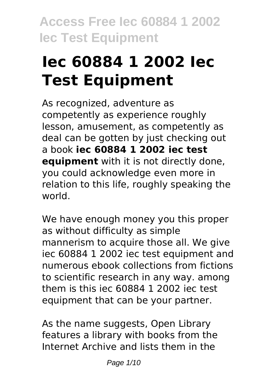# **Iec 60884 1 2002 Iec Test Equipment**

As recognized, adventure as competently as experience roughly lesson, amusement, as competently as deal can be gotten by just checking out a book **iec 60884 1 2002 iec test equipment** with it is not directly done, you could acknowledge even more in relation to this life, roughly speaking the world.

We have enough money you this proper as without difficulty as simple mannerism to acquire those all. We give iec 60884 1 2002 iec test equipment and numerous ebook collections from fictions to scientific research in any way. among them is this iec 60884 1 2002 iec test equipment that can be your partner.

As the name suggests, Open Library features a library with books from the Internet Archive and lists them in the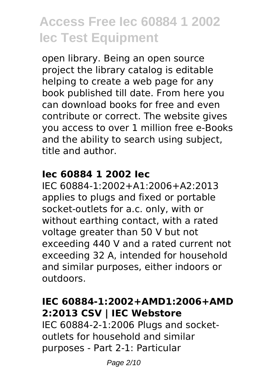open library. Being an open source project the library catalog is editable helping to create a web page for any book published till date. From here you can download books for free and even contribute or correct. The website gives you access to over 1 million free e-Books and the ability to search using subject, title and author.

#### **Iec 60884 1 2002 Iec**

IEC 60884-1:2002+A1:2006+A2:2013 applies to plugs and fixed or portable socket-outlets for a.c. only, with or without earthing contact, with a rated voltage greater than 50 V but not exceeding 440 V and a rated current not exceeding 32 A, intended for household and similar purposes, either indoors or outdoors.

#### **IEC 60884-1:2002+AMD1:2006+AMD 2:2013 CSV | IEC Webstore**

IEC 60884-2-1:2006 Plugs and socketoutlets for household and similar purposes - Part 2-1: Particular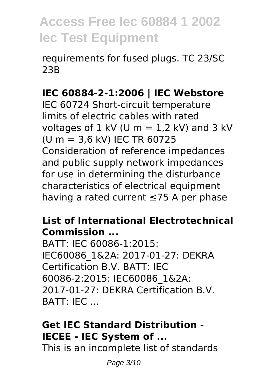requirements for fused plugs. TC 23/SC 23B

### **IEC 60884-2-1:2006 | IEC Webstore**

IEC 60724 Short-circuit temperature limits of electric cables with rated voltages of  $1$  kV (U m =  $1.2$  kV) and  $3$  kV (U m = 3,6 kV) IEC TR 60725 Consideration of reference impedances and public supply network impedances for use in determining the disturbance characteristics of electrical equipment having a rated current ≤75 A per phase

#### **List of International Electrotechnical Commission ...**

BATT: IEC 60086-1:2015: IEC60086\_1&2A: 2017-01-27: DEKRA Certification B.V. BATT: IEC 60086-2:2015: IEC60086\_1&2A: 2017-01-27: DEKRA Certification B.V. BATT: IEC ...

### **Get IEC Standard Distribution - IECEE - IEC System of ...**

This is an incomplete list of standards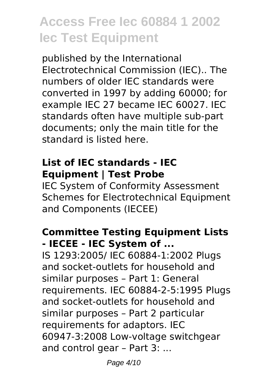published by the International Electrotechnical Commission (IEC).. The numbers of older IEC standards were converted in 1997 by adding 60000; for example IEC 27 became IEC 60027. IEC standards often have multiple sub-part documents; only the main title for the standard is listed here.

#### **List of IEC standards - IEC Equipment | Test Probe**

IEC System of Conformity Assessment Schemes for Electrotechnical Equipment and Components (IECEE)

#### **Committee Testing Equipment Lists - IECEE - IEC System of ...**

IS 1293:2005/ IEC 60884-1:2002 Plugs and socket-outlets for household and similar purposes – Part 1: General requirements. IEC 60884-2-5:1995 Plugs and socket-outlets for household and similar purposes – Part 2 particular requirements for adaptors. IEC 60947-3:2008 Low-voltage switchgear and control gear – Part 3: ...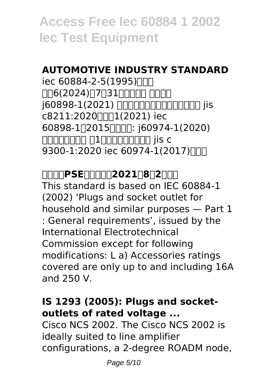### **AUTOMOTIVE INDUSTRY STANDARD**

iec 60884-2-5(1995)  $\Pi$ 6(2024) $\Pi$ 7 $\Pi$ 31 $\Pi$  $\Pi$ n $\Pi$ j60898-1(2021) 住宅及び類似設備用配線用遮断器 jis c8211:2020 $\Pi$ 1(2021) iec 60898-1∏2015∏∏∏: j60974-1(2020) アーク溶接装置- 第1部:アーク溶接電源 jis c 9300-1:2020 iec 60974-1(2017)

**豆知識:PSE改訂情報:2021年8月2日改訂** This standard is based on IEC 60884-1 (2002) 'Plugs and socket outlet for household and similar purposes — Part 1 : General requirements', issued by the International Electrotechnical Commission except for following modifications: L a) Accessories ratings covered are only up to and including 16A and 250 V.

#### **IS 1293 (2005): Plugs and socketoutlets of rated voltage ...**

Cisco NCS 2002. The Cisco NCS 2002 is ideally suited to line amplifier configurations, a 2-degree ROADM node,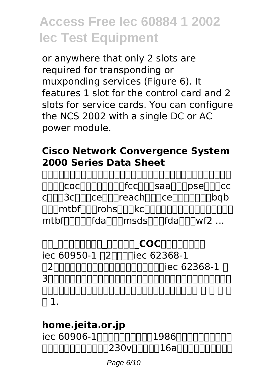or anywhere that only 2 slots are required for transponding or muxponding services (Figure 6). It features 1 slot for the control card and 2 slots for service cards. You can configure the NCS 2002 with a single DC or AC power module.

#### **Cisco Network Convergence System 2000 Series Data Sheet**

深圳市讯科标准技术服务有限公司服务项目包含不锈钢检测、振动测试、连接 **ΠΠΠ**ΓCOCΠΠΠΠΠΠΓΓCCΠΠΠSaaΠΠΠpseΠΠΠcc cnnn3cnnncennnreachnnncennnnnnnbqb nnnmtbf∩nnrohs∩nnkcnnnnnnnnnnnnnnn mtbf∏∏∏∏fda∏∏msds∏∏∏fda∏∏wf2 ...

<u>MA ANANANA ANANA COCNANANAN</u> iec 60950-1 <u>[2</u> mullec 62368-1] 第2版を理解している設計者、安全規格技術者がiec 62368-1 第 3版を適用して製品を設計、評価する際に留意すべき要求事項の相違内容を controlational computational computational computational computational computational computational computation  $\sqcap$  1.

# **home.jeita.or.jp**

iec 60906-1是由國際電工委員會在1986年制訂的家用交流電源  $\Box$ 000000000000230v $\Box$ 000016a000000

Page 6/10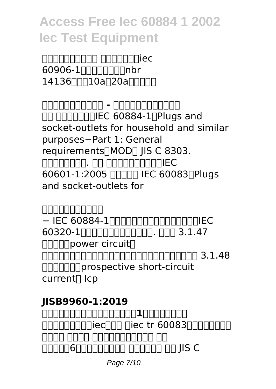hannanan annannaiec  $60906 - 1$ 14136,共有10a及20a兩款標準。

**家用交流電源插頭與插座 - 维基百科,自由的百科全书 NO NORMALE CO0884-1, Plugs and** socket-outlets for household and similar purposes−Part 1: General requirements∏MOD∏ IIS C 8303. acococo. ao acocomana ec 60601-1:2005 NNNH IEC 60083NPlugs and socket-outlets for

**日本産業規格の簡易閲覧** − IEC 60884-1∏∏∏∏∏∏∏∏∏∏IEC 60320-1による機器用カプラ(電源接. 続器) 3.1.47 **□□□□power circuit** honononononononononononona 3.1.48 想定短絡電流(prospective short-circuit current<sup>[]</sup> Icp

# **JISB9960-1:2019**

**機械類の安全性-機械の電気装置-第1部:一般要求事項** GOOR3GOOG GEGAG GEGAAG TREED FIELD TO THE TREED TO THE TREED TO THE TREED TO THE TREED TO THE TREED TO THE TRE ana anan anananana an 00000600000000 000000 00 JIS C

Page 7/10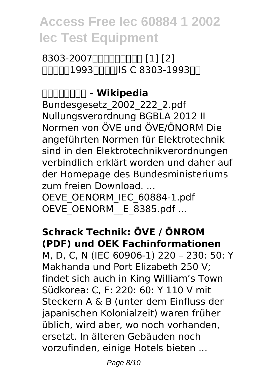### 8303-2007 [1] [1] [2] FINNN1993NNNNIS C 8303-1993NN

#### **配線用差込接続器 - Wikipedia** Bundesgesetz\_2002\_222\_2.pdf Nullungsverordnung BGBLA 2012 II Normen von ÖVE und ÖVE/ÖNORM Die angeführten Normen für Elektrotechnik sind in den Elektrotechnikverordnungen

verbindlich erklärt worden und daher auf der Homepage des Bundesministeriums zum freien Download. ...

OEVE\_OENORM\_IEC\_60884-1.pdf OEVE\_OENORM\_ E\_8385.pdf ...

# **Schrack Technik: ÖVE / ÖNROM (PDF) und OEK Fachinformationen**

M, D, C, N (IEC 60906-1) 220 – 230: 50: Y Makhanda und Port Elizabeth 250 V; findet sich auch in King William's Town Südkorea: C, F: 220: 60: Y 110 V mit Steckern A & B (unter dem Einfluss der japanischen Kolonialzeit) waren früher üblich, wird aber, wo noch vorhanden, ersetzt. In älteren Gebäuden noch vorzufinden, einige Hotels bieten ...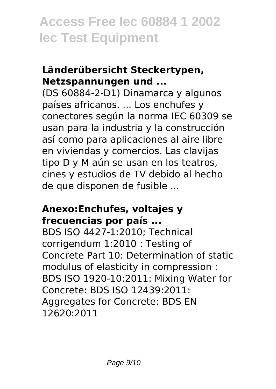#### **Länderübersicht Steckertypen, Netzspannungen und ...**

(DS 60884-2-D1) Dinamarca y algunos países africanos. ... Los enchufes y conectores según la norma IEC 60309 se usan para la industria y la construcción así como para aplicaciones al aire libre en viviendas y comercios. Las clavijas tipo D y M aún se usan en los teatros, cines y estudios de TV debido al hecho de que disponen de fusible ...

#### **Anexo:Enchufes, voltajes y frecuencias por país ...**

BDS ISO 4427-1:2010; Technical corrigendum 1:2010 : Testing of Concrete Part 10: Determination of static modulus of elasticity in compression : BDS ISO 1920-10:2011: Mixing Water for Concrete: BDS ISO 12439:2011: Aggregates for Concrete: BDS EN 12620:2011